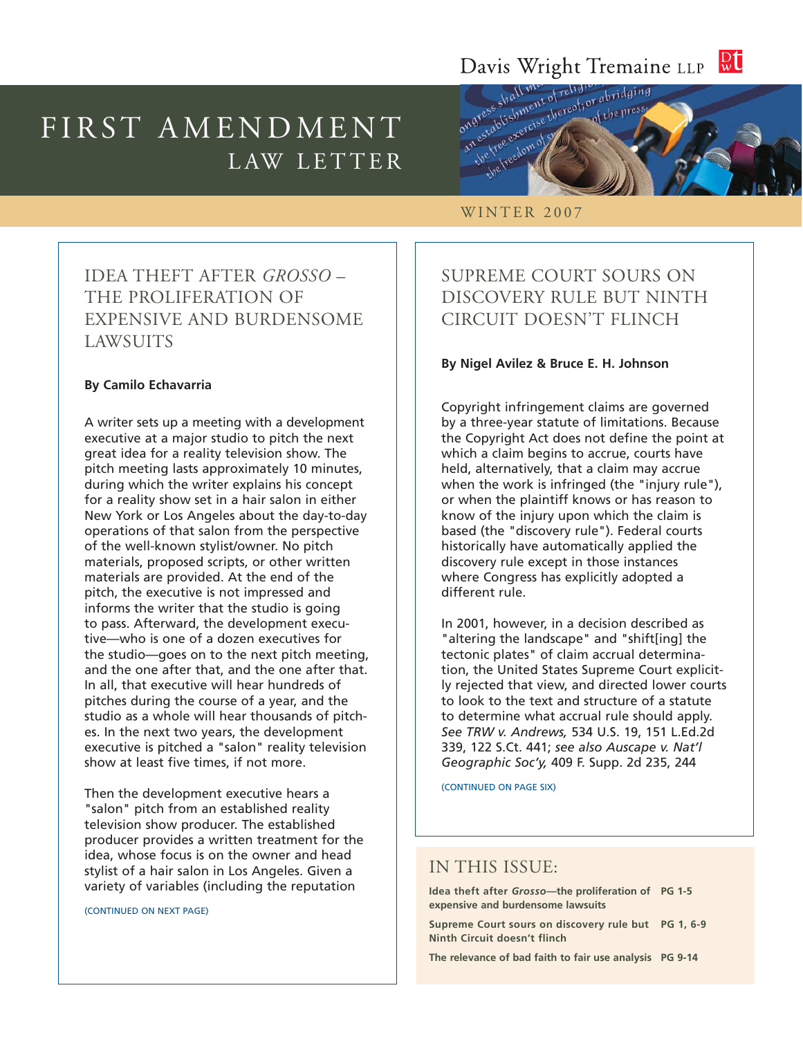#### $\frac{D}{W}$ Davis Wright Tremaine LLP

# FIRST AMENDMENT LAW LETTER



#### WINTER 2007

### IDEA THEFT AFTER *GROSSO* – THE PROLIFERATION OF EXPENSIVE AND BURDENSOME LAWSUITS

#### **By Camilo Echavarria**

A writer sets up a meeting with a development executive at a major studio to pitch the next great idea for a reality television show. The pitch meeting lasts approximately 10 minutes, during which the writer explains his concept for a reality show set in a hair salon in either New York or Los Angeles about the day-to-day operations of that salon from the perspective of the well-known stylist/owner. No pitch materials, proposed scripts, or other written materials are provided. At the end of the pitch, the executive is not impressed and informs the writer that the studio is going to pass. Afterward, the development executive—who is one of a dozen executives for the studio—goes on to the next pitch meeting, and the one after that, and the one after that. In all, that executive will hear hundreds of pitches during the course of a year, and the studio as a whole will hear thousands of pitches. In the next two years, the development executive is pitched a "salon" reality television show at least five times, if not more.

Then the development executive hears a "salon" pitch from an established reality television show producer. The established producer provides a written treatment for the idea, whose focus is on the owner and head stylist of a hair salon in Los Angeles. Given a variety of variables (including the reputation

(CONTINUED ON NEXT PAGE)

### SUPREME COURT SOURS ON DISCOVERY RULE BUT NINTH CIRCUIT DOESN'T FLINCH

#### **By Nigel Avilez & Bruce E. H. Johnson**

Copyright infringement claims are governed by a three-year statute of limitations. Because the Copyright Act does not define the point at which a claim begins to accrue, courts have held, alternatively, that a claim may accrue when the work is infringed (the "injury rule"), or when the plaintiff knows or has reason to know of the injury upon which the claim is based (the "discovery rule"). Federal courts historically have automatically applied the discovery rule except in those instances where Congress has explicitly adopted a different rule.

In 2001, however, in a decision described as "altering the landscape" and "shift[ing] the tectonic plates" of claim accrual determination, the United States Supreme Court explicitly rejected that view, and directed lower courts to look to the text and structure of a statute to determine what accrual rule should apply. *See TRW v. Andrews,* 534 U.S. 19, 151 L.Ed.2d 339, 122 S.Ct. 441; *see also Auscape v. Nat'l Geographic Soc'y,* 409 F. Supp. 2d 235, 244

(CONTINUED ON PAGE SIX)

### IN THIS ISSUE:

**Idea theft after** *Grosso***—the proliferation of PG 1-5 expensive and burdensome lawsuits**

**Supreme Court sours on discovery rule but PG 1, 6-9 Ninth Circuit doesn't flinch**

**The relevance of bad faith to fair use analysis PG 9-14**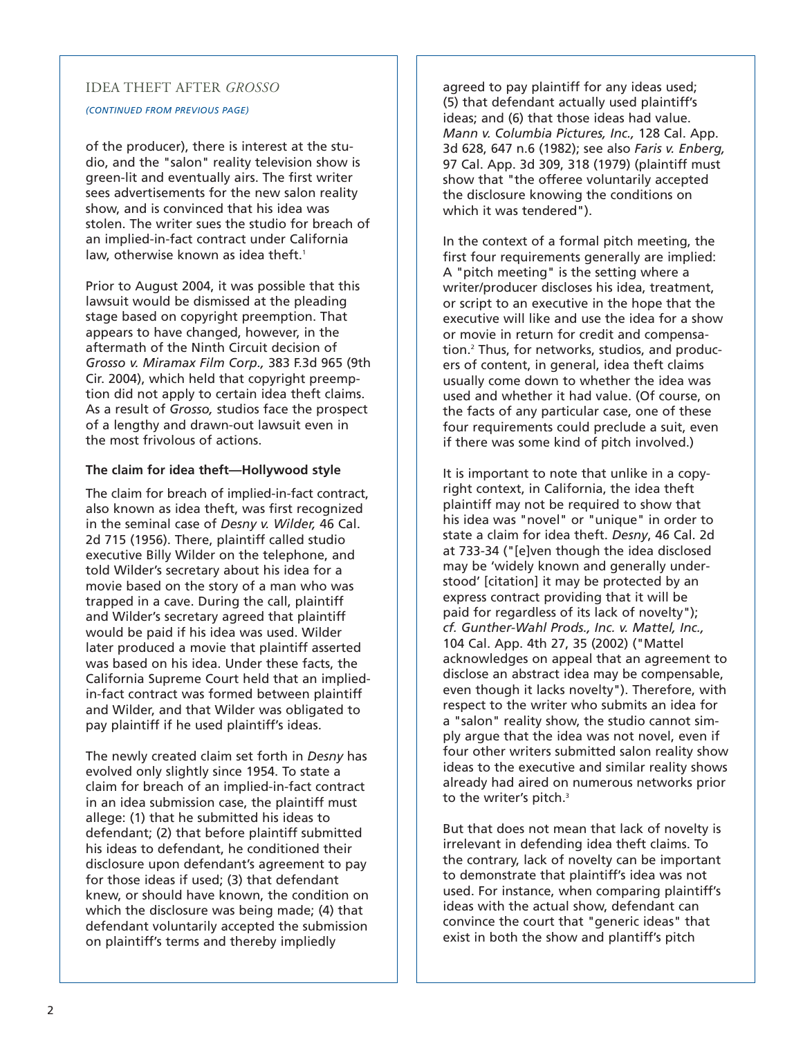#### IDEA THEFT AFTER *GROSSO*

#### *(CONTINUED FROM PREVIOUS PAGE)*

of the producer), there is interest at the studio, and the "salon" reality television show is green-lit and eventually airs. The first writer sees advertisements for the new salon reality show, and is convinced that his idea was stolen. The writer sues the studio for breach of an implied-in-fact contract under California law, otherwise known as idea theft.<sup>1</sup>

Prior to August 2004, it was possible that this lawsuit would be dismissed at the pleading stage based on copyright preemption. That appears to have changed, however, in the aftermath of the Ninth Circuit decision of *Grosso v. Miramax Film Corp.,* 383 F.3d 965 (9th Cir. 2004), which held that copyright preemption did not apply to certain idea theft claims. As a result of *Grosso,* studios face the prospect of a lengthy and drawn-out lawsuit even in the most frivolous of actions.

#### **The claim for idea theft—Hollywood style**

The claim for breach of implied-in-fact contract, also known as idea theft, was first recognized in the seminal case of *Desny v. Wilder,* 46 Cal. 2d 715 (1956). There, plaintiff called studio executive Billy Wilder on the telephone, and told Wilder's secretary about his idea for a movie based on the story of a man who was trapped in a cave. During the call, plaintiff and Wilder's secretary agreed that plaintiff would be paid if his idea was used. Wilder later produced a movie that plaintiff asserted was based on his idea. Under these facts, the California Supreme Court held that an impliedin-fact contract was formed between plaintiff and Wilder, and that Wilder was obligated to pay plaintiff if he used plaintiff's ideas.

The newly created claim set forth in *Desny* has evolved only slightly since 1954. To state a claim for breach of an implied-in-fact contract in an idea submission case, the plaintiff must allege: (1) that he submitted his ideas to defendant; (2) that before plaintiff submitted his ideas to defendant, he conditioned their disclosure upon defendant's agreement to pay for those ideas if used; (3) that defendant knew, or should have known, the condition on which the disclosure was being made; (4) that defendant voluntarily accepted the submission on plaintiff's terms and thereby impliedly

agreed to pay plaintiff for any ideas used; (5) that defendant actually used plaintiff's ideas; and (6) that those ideas had value. *Mann v. Columbia Pictures, Inc.,* 128 Cal. App. 3d 628, 647 n.6 (1982); see also *Faris v. Enberg,* 97 Cal. App. 3d 309, 318 (1979) (plaintiff must show that "the offeree voluntarily accepted the disclosure knowing the conditions on which it was tendered").

In the context of a formal pitch meeting, the first four requirements generally are implied: A "pitch meeting" is the setting where a writer/producer discloses his idea, treatment, or script to an executive in the hope that the executive will like and use the idea for a show or movie in return for credit and compensation.2 Thus, for networks, studios, and producers of content, in general, idea theft claims usually come down to whether the idea was used and whether it had value. (Of course, on the facts of any particular case, one of these four requirements could preclude a suit, even if there was some kind of pitch involved.)

It is important to note that unlike in a copyright context, in California, the idea theft plaintiff may not be required to show that his idea was "novel" or "unique" in order to state a claim for idea theft. *Desny*, 46 Cal. 2d at 733-34 ("[e]ven though the idea disclosed may be 'widely known and generally understood' [citation] it may be protected by an express contract providing that it will be paid for regardless of its lack of novelty"); *cf. Gunther-Wahl Prods., Inc. v. Mattel, Inc.,* 104 Cal. App. 4th 27, 35 (2002) ("Mattel acknowledges on appeal that an agreement to disclose an abstract idea may be compensable, even though it lacks novelty"). Therefore, with respect to the writer who submits an idea for a "salon" reality show, the studio cannot simply argue that the idea was not novel, even if four other writers submitted salon reality show ideas to the executive and similar reality shows already had aired on numerous networks prior to the writer's pitch.<sup>3</sup>

But that does not mean that lack of novelty is irrelevant in defending idea theft claims. To the contrary, lack of novelty can be important to demonstrate that plaintiff's idea was not used. For instance, when comparing plaintiff's ideas with the actual show, defendant can convince the court that "generic ideas" that exist in both the show and plantiff's pitch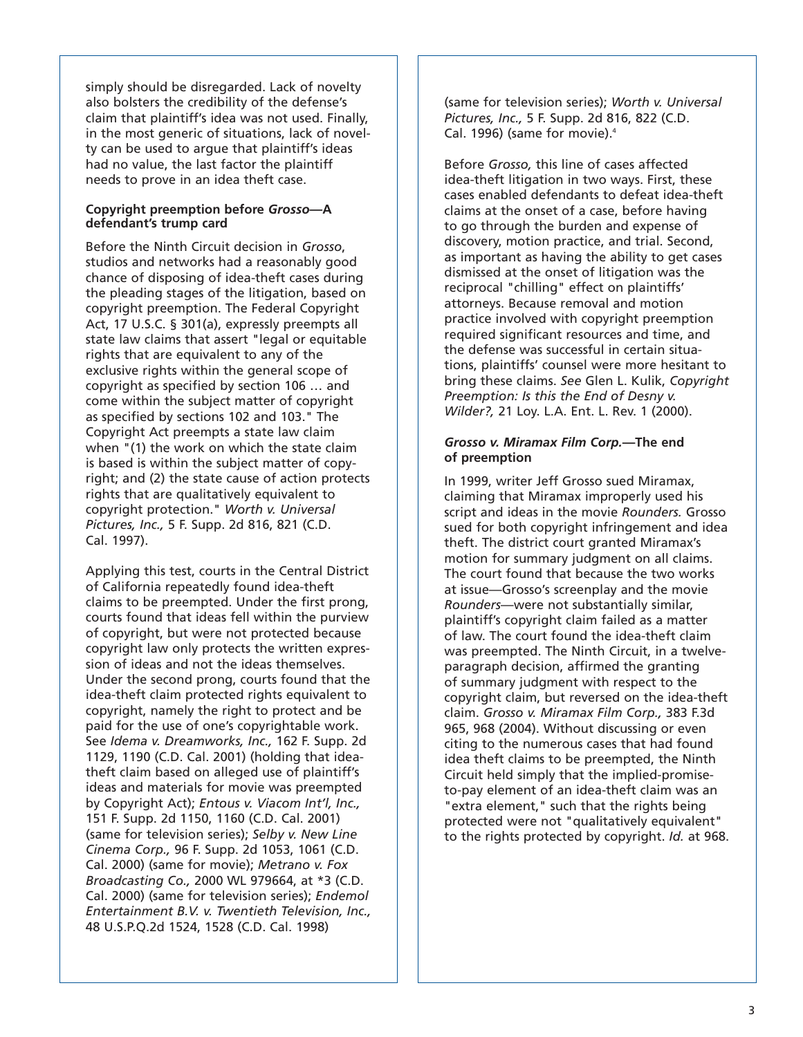simply should be disregarded. Lack of novelty also bolsters the credibility of the defense's claim that plaintiff's idea was not used. Finally, in the most generic of situations, lack of novelty can be used to argue that plaintiff's ideas had no value, the last factor the plaintiff needs to prove in an idea theft case.

#### **Copyright preemption before** *Grosso***—A defendant's trump card**

Before the Ninth Circuit decision in *Grosso*, studios and networks had a reasonably good chance of disposing of idea-theft cases during the pleading stages of the litigation, based on copyright preemption. The Federal Copyright Act, 17 U.S.C. § 301(a), expressly preempts all state law claims that assert "legal or equitable rights that are equivalent to any of the exclusive rights within the general scope of copyright as specified by section 106 … and come within the subject matter of copyright as specified by sections 102 and 103." The Copyright Act preempts a state law claim when "(1) the work on which the state claim is based is within the subject matter of copyright; and (2) the state cause of action protects rights that are qualitatively equivalent to copyright protection." *Worth v. Universal Pictures, Inc.,* 5 F. Supp. 2d 816, 821 (C.D. Cal. 1997).

Applying this test, courts in the Central District of California repeatedly found idea-theft claims to be preempted. Under the first prong, courts found that ideas fell within the purview of copyright, but were not protected because copyright law only protects the written expression of ideas and not the ideas themselves. Under the second prong, courts found that the idea-theft claim protected rights equivalent to copyright, namely the right to protect and be paid for the use of one's copyrightable work. See *Idema v. Dreamworks, Inc.,* 162 F. Supp. 2d 1129, 1190 (C.D. Cal. 2001) (holding that ideatheft claim based on alleged use of plaintiff's ideas and materials for movie was preempted by Copyright Act); *Entous v. Viacom Int'l, Inc.,* 151 F. Supp. 2d 1150, 1160 (C.D. Cal. 2001) (same for television series); *Selby v. New Line Cinema Corp.,* 96 F. Supp. 2d 1053, 1061 (C.D. Cal. 2000) (same for movie); *Metrano v. Fox Broadcasting Co.,* 2000 WL 979664, at \*3 (C.D. Cal. 2000) (same for television series); *Endemol Entertainment B.V. v. Twentieth Television, Inc.,* 48 U.S.P.Q.2d 1524, 1528 (C.D. Cal. 1998)

(same for television series); *Worth v. Universal Pictures, Inc.,* 5 F. Supp. 2d 816, 822 (C.D. Cal. 1996) (same for movie).<sup>4</sup>

Before *Grosso,* this line of cases affected idea-theft litigation in two ways. First, these cases enabled defendants to defeat idea-theft claims at the onset of a case, before having to go through the burden and expense of discovery, motion practice, and trial. Second, as important as having the ability to get cases dismissed at the onset of litigation was the reciprocal "chilling" effect on plaintiffs' attorneys. Because removal and motion practice involved with copyright preemption required significant resources and time, and the defense was successful in certain situations, plaintiffs' counsel were more hesitant to bring these claims. *See* Glen L. Kulik, *Copyright Preemption: Is this the End of Desny v. Wilder?,* 21 Loy. L.A. Ent. L. Rev. 1 (2000).

#### *Grosso v. Miramax Film Corp.***—The end of preemption**

In 1999, writer Jeff Grosso sued Miramax, claiming that Miramax improperly used his script and ideas in the movie *Rounders.* Grosso sued for both copyright infringement and idea theft. The district court granted Miramax's motion for summary judgment on all claims. The court found that because the two works at issue—Grosso's screenplay and the movie *Rounders*—were not substantially similar, plaintiff's copyright claim failed as a matter of law. The court found the idea-theft claim was preempted. The Ninth Circuit, in a twelveparagraph decision, affirmed the granting of summary judgment with respect to the copyright claim, but reversed on the idea-theft claim. *Grosso v. Miramax Film Corp.,* 383 F.3d 965, 968 (2004). Without discussing or even citing to the numerous cases that had found idea theft claims to be preempted, the Ninth Circuit held simply that the implied-promiseto-pay element of an idea-theft claim was an "extra element," such that the rights being protected were not "qualitatively equivalent" to the rights protected by copyright. *Id.* at 968.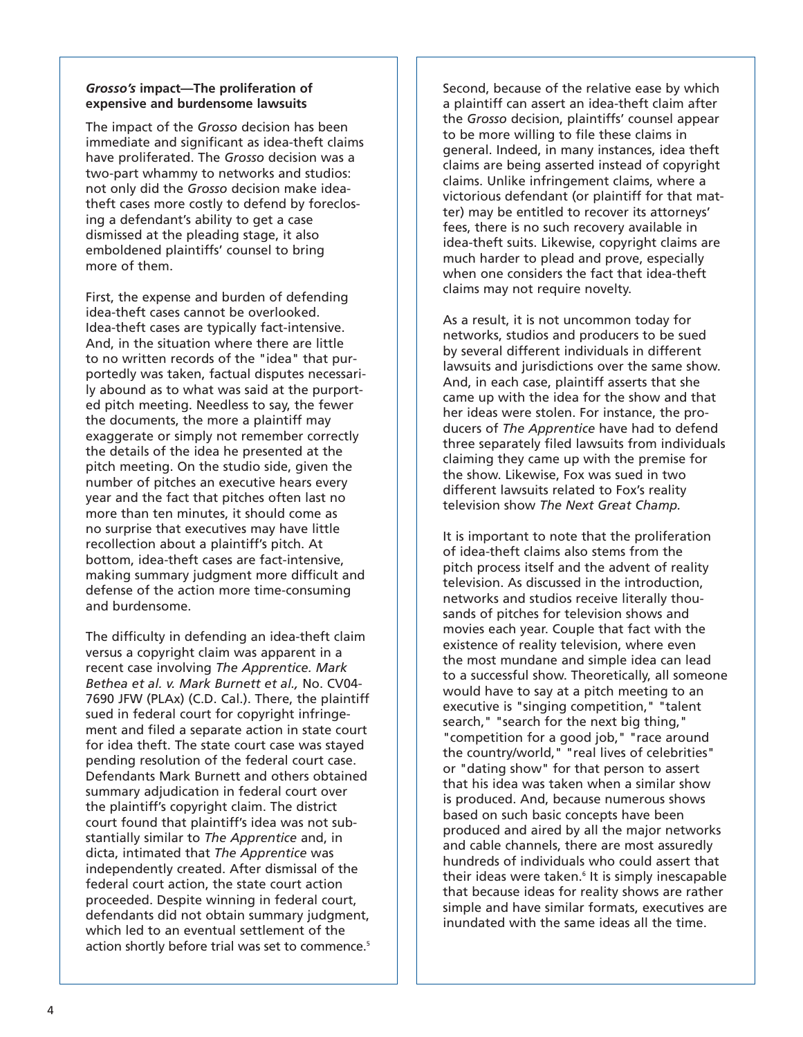#### *Grosso's* **impact—The proliferation of expensive and burdensome lawsuits**

The impact of the *Grosso* decision has been immediate and significant as idea-theft claims have proliferated. The *Grosso* decision was a two-part whammy to networks and studios: not only did the *Grosso* decision make ideatheft cases more costly to defend by foreclosing a defendant's ability to get a case dismissed at the pleading stage, it also emboldened plaintiffs' counsel to bring more of them.

First, the expense and burden of defending idea-theft cases cannot be overlooked. Idea-theft cases are typically fact-intensive. And, in the situation where there are little to no written records of the "idea" that purportedly was taken, factual disputes necessarily abound as to what was said at the purported pitch meeting. Needless to say, the fewer the documents, the more a plaintiff may exaggerate or simply not remember correctly the details of the idea he presented at the pitch meeting. On the studio side, given the number of pitches an executive hears every year and the fact that pitches often last no more than ten minutes, it should come as no surprise that executives may have little recollection about a plaintiff's pitch. At bottom, idea-theft cases are fact-intensive, making summary judgment more difficult and defense of the action more time-consuming and burdensome.

The difficulty in defending an idea-theft claim versus a copyright claim was apparent in a recent case involving *The Apprentice. Mark Bethea et al. v. Mark Burnett et al.,* No. CV04- 7690 JFW (PLAx) (C.D. Cal.). There, the plaintiff sued in federal court for copyright infringement and filed a separate action in state court for idea theft. The state court case was stayed pending resolution of the federal court case. Defendants Mark Burnett and others obtained summary adjudication in federal court over the plaintiff's copyright claim. The district court found that plaintiff's idea was not substantially similar to *The Apprentice* and, in dicta, intimated that *The Apprentice* was independently created. After dismissal of the federal court action, the state court action proceeded. Despite winning in federal court, defendants did not obtain summary judgment, which led to an eventual settlement of the action shortly before trial was set to commence.<sup>5</sup>

Second, because of the relative ease by which a plaintiff can assert an idea-theft claim after the *Grosso* decision, plaintiffs' counsel appear to be more willing to file these claims in general. Indeed, in many instances, idea theft claims are being asserted instead of copyright claims. Unlike infringement claims, where a victorious defendant (or plaintiff for that matter) may be entitled to recover its attorneys' fees, there is no such recovery available in idea-theft suits. Likewise, copyright claims are much harder to plead and prove, especially when one considers the fact that idea-theft claims may not require novelty.

As a result, it is not uncommon today for networks, studios and producers to be sued by several different individuals in different lawsuits and jurisdictions over the same show. And, in each case, plaintiff asserts that she came up with the idea for the show and that her ideas were stolen. For instance, the producers of *The Apprentice* have had to defend three separately filed lawsuits from individuals claiming they came up with the premise for the show. Likewise, Fox was sued in two different lawsuits related to Fox's reality television show *The Next Great Champ.*

It is important to note that the proliferation of idea-theft claims also stems from the pitch process itself and the advent of reality television. As discussed in the introduction, networks and studios receive literally thousands of pitches for television shows and movies each year. Couple that fact with the existence of reality television, where even the most mundane and simple idea can lead to a successful show. Theoretically, all someone would have to say at a pitch meeting to an executive is "singing competition," "talent search," "search for the next big thing," "competition for a good job," "race around the country/world," "real lives of celebrities" or "dating show" for that person to assert that his idea was taken when a similar show is produced. And, because numerous shows based on such basic concepts have been produced and aired by all the major networks and cable channels, there are most assuredly hundreds of individuals who could assert that their ideas were taken.<sup>6</sup> It is simply inescapable that because ideas for reality shows are rather simple and have similar formats, executives are inundated with the same ideas all the time.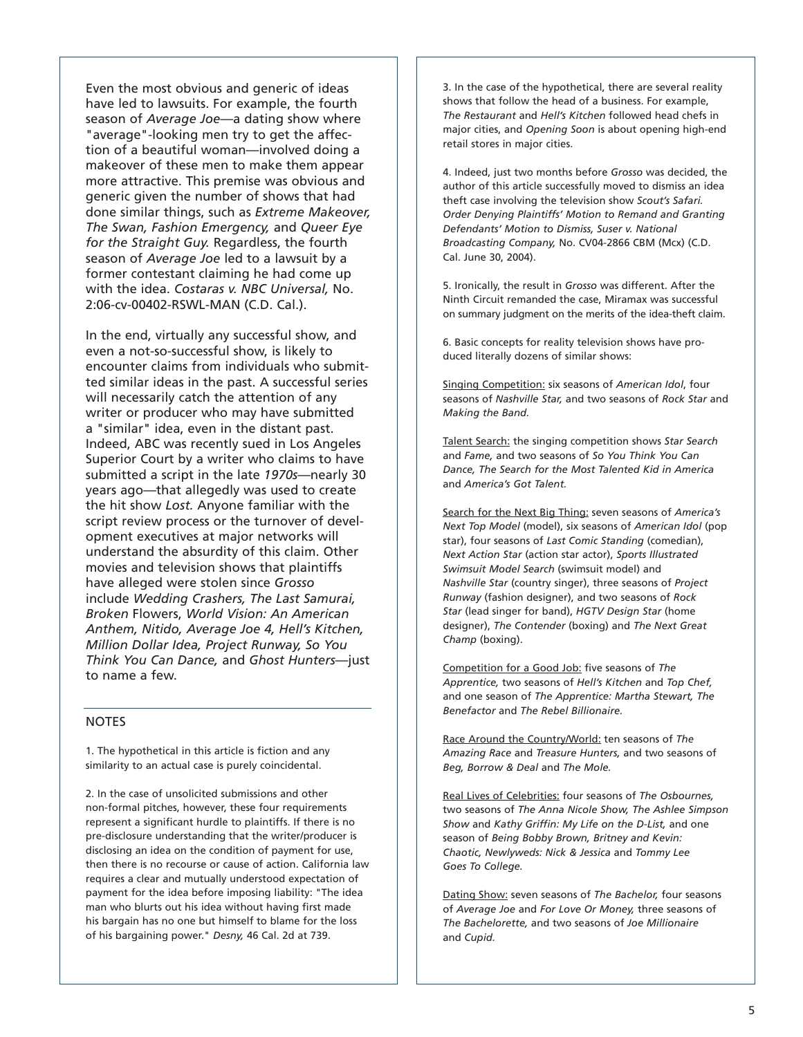Even the most obvious and generic of ideas have led to lawsuits. For example, the fourth season of *Average Joe*—a dating show where "average"-looking men try to get the affection of a beautiful woman—involved doing a makeover of these men to make them appear more attractive. This premise was obvious and generic given the number of shows that had done similar things, such as *Extreme Makeover, The Swan, Fashion Emergency,* and *Queer Eye for the Straight Guy.* Regardless, the fourth season of *Average Joe* led to a lawsuit by a former contestant claiming he had come up with the idea. *Costaras v. NBC Universal,* No. 2:06-cv-00402-RSWL-MAN (C.D. Cal.).

In the end, virtually any successful show, and even a not-so-successful show, is likely to encounter claims from individuals who submitted similar ideas in the past. A successful series will necessarily catch the attention of any writer or producer who may have submitted a "similar" idea, even in the distant past. Indeed, ABC was recently sued in Los Angeles Superior Court by a writer who claims to have submitted a script in the late *1970s*—nearly 30 years ago—that allegedly was used to create the hit show *Lost.* Anyone familiar with the script review process or the turnover of development executives at major networks will understand the absurdity of this claim. Other movies and television shows that plaintiffs have alleged were stolen since *Grosso* include *Wedding Crashers, The Last Samurai, Broken* Flowers, *World Vision: An American Anthem, Nitido, Average Joe 4, Hell's Kitchen, Million Dollar Idea, Project Runway, So You Think You Can Dance,* and *Ghost Hunters*—just to name a few.

#### NOTES

1. The hypothetical in this article is fiction and any similarity to an actual case is purely coincidental.

2. In the case of unsolicited submissions and other non-formal pitches, however, these four requirements represent a significant hurdle to plaintiffs. If there is no pre-disclosure understanding that the writer/producer is disclosing an idea on the condition of payment for use, then there is no recourse or cause of action. California law requires a clear and mutually understood expectation of payment for the idea before imposing liability: "The idea man who blurts out his idea without having first made his bargain has no one but himself to blame for the loss of his bargaining power." *Desny,* 46 Cal. 2d at 739.

3. In the case of the hypothetical, there are several reality shows that follow the head of a business. For example, *The Restaurant* and *Hell's Kitchen* followed head chefs in major cities, and *Opening Soon* is about opening high-end retail stores in major cities.

4. Indeed, just two months before *Grosso* was decided, the author of this article successfully moved to dismiss an idea theft case involving the television show *Scout's Safari. Order Denying Plaintiffs' Motion to Remand and Granting Defendants' Motion to Dismiss, Suser v. National Broadcasting Company,* No. CV04-2866 CBM (Mcx) (C.D. Cal. June 30, 2004).

5. Ironically, the result in *Grosso* was different. After the Ninth Circuit remanded the case, Miramax was successful on summary judgment on the merits of the idea-theft claim.

6. Basic concepts for reality television shows have produced literally dozens of similar shows:

Singing Competition: six seasons of *American Idol*, four seasons of *Nashville Star,* and two seasons of *Rock Star* and *Making the Band.*

Talent Search: the singing competition shows *Star Search* and *Fame,* and two seasons of *So You Think You Can Dance, The Search for the Most Talented Kid in America* and *America's Got Talent.*

Search for the Next Big Thing: seven seasons of *America's Next Top Model* (model), six seasons of *American Idol* (pop star), four seasons of *Last Comic Standing* (comedian), *Next Action Star* (action star actor), *Sports Illustrated Swimsuit Model Search* (swimsuit model) and *Nashville Star* (country singer), three seasons of *Project Runway* (fashion designer), and two seasons of *Rock Star* (lead singer for band), *HGTV Design Star* (home designer), *The Contender* (boxing) and *The Next Great Champ* (boxing).

Competition for a Good Job: five seasons of *The Apprentice,* two seasons of *Hell's Kitchen* and *Top Chef,* and one season of *The Apprentice: Martha Stewart, The Benefactor* and *The Rebel Billionaire.*

Race Around the Country/World: ten seasons of *The Amazing Race* and *Treasure Hunters,* and two seasons of *Beg, Borrow & Deal* and *The Mole.*

Real Lives of Celebrities: four seasons of *The Osbournes,* two seasons of *The Anna Nicole Show, The Ashlee Simpson Show* and *Kathy Griffin: My Life on the D-List,* and one season of *Being Bobby Brown, Britney and Kevin: Chaotic, Newlyweds: Nick & Jessica* and *Tommy Lee Goes To College.*

Dating Show: seven seasons of *The Bachelor,* four seasons of *Average Joe* and *For Love Or Money,* three seasons of *The Bachelorette,* and two seasons of *Joe Millionaire* and *Cupid.*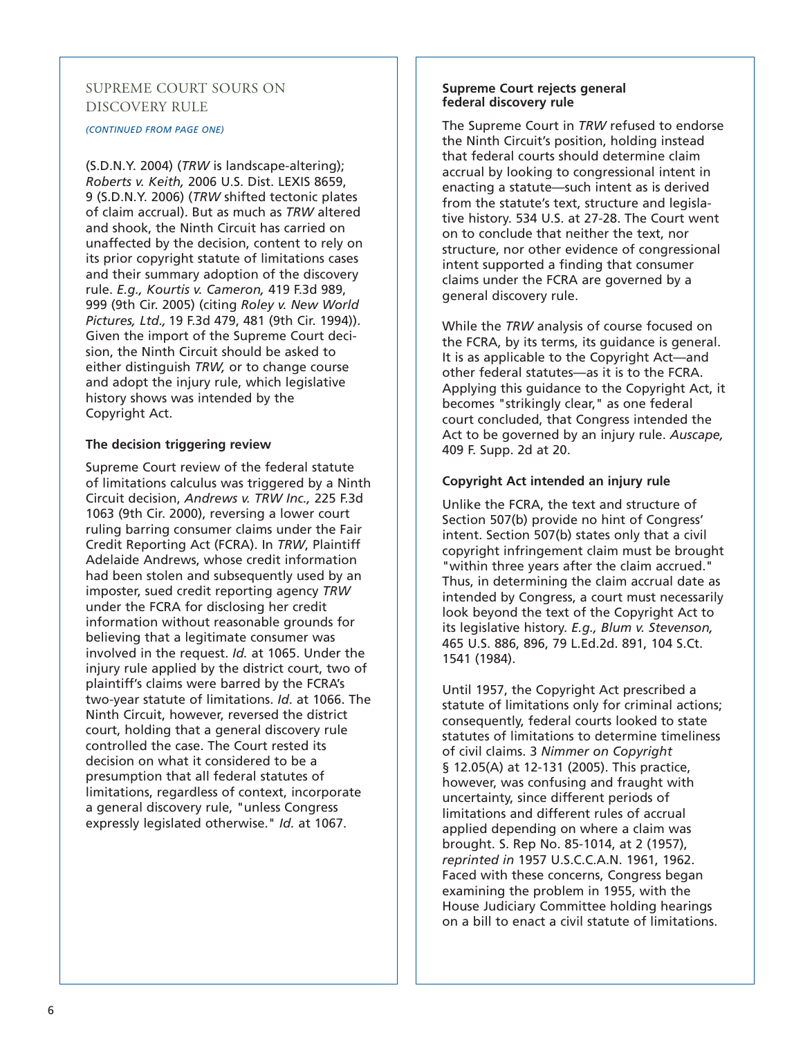#### SUPREME COURT SOURS ON DISCOVERY RULE

#### *(CONTINUED FROM PAGE ONE)*

(S.D.N.Y. 2004) (*TRW* is landscape-altering); *Roberts v. Keith,* 2006 U.S. Dist. LEXIS 8659, 9 (S.D.N.Y. 2006) (*TRW* shifted tectonic plates of claim accrual). But as much as *TRW* altered and shook, the Ninth Circuit has carried on unaffected by the decision, content to rely on its prior copyright statute of limitations cases and their summary adoption of the discovery rule. *E.g., Kourtis v. Cameron,* 419 F.3d 989, 999 (9th Cir. 2005) (citing *Roley v. New World Pictures, Ltd.,* 19 F.3d 479, 481 (9th Cir. 1994)). Given the import of the Supreme Court decision, the Ninth Circuit should be asked to either distinguish *TRW,* or to change course and adopt the injury rule, which legislative history shows was intended by the Copyright Act.

#### **The decision triggering review**

Supreme Court review of the federal statute of limitations calculus was triggered by a Ninth Circuit decision, *Andrews v. TRW Inc.,* 225 F.3d 1063 (9th Cir. 2000), reversing a lower court ruling barring consumer claims under the Fair Credit Reporting Act (FCRA). In *TRW*, Plaintiff Adelaide Andrews, whose credit information had been stolen and subsequently used by an imposter, sued credit reporting agency *TRW* under the FCRA for disclosing her credit information without reasonable grounds for believing that a legitimate consumer was involved in the request. *Id.* at 1065. Under the injury rule applied by the district court, two of plaintiff's claims were barred by the FCRA's two-year statute of limitations. *Id*. at 1066. The Ninth Circuit, however, reversed the district court, holding that a general discovery rule controlled the case. The Court rested its decision on what it considered to be a presumption that all federal statutes of limitations, regardless of context, incorporate a general discovery rule, "unless Congress expressly legislated otherwise." *Id.* at 1067.

#### **Supreme Court rejects general federal discovery rule**

The Supreme Court in *TRW* refused to endorse the Ninth Circuit's position, holding instead that federal courts should determine claim accrual by looking to congressional intent in enacting a statute—such intent as is derived from the statute's text, structure and legislative history. 534 U.S. at 27-28. The Court went on to conclude that neither the text, nor structure, nor other evidence of congressional intent supported a finding that consumer claims under the FCRA are governed by a general discovery rule.

While the *TRW* analysis of course focused on the FCRA, by its terms, its guidance is general. It is as applicable to the Copyright Act—and other federal statutes—as it is to the FCRA. Applying this guidance to the Copyright Act, it becomes "strikingly clear," as one federal court concluded, that Congress intended the Act to be governed by an injury rule. *Auscape,* 409 F. Supp. 2d at 20.

#### **Copyright Act intended an injury rule**

Unlike the FCRA, the text and structure of Section 507(b) provide no hint of Congress' intent. Section 507(b) states only that a civil copyright infringement claim must be brought "within three years after the claim accrued." Thus, in determining the claim accrual date as intended by Congress, a court must necessarily look beyond the text of the Copyright Act to its legislative history. *E.g., Blum v. Stevenson,* 465 U.S. 886, 896, 79 L.Ed.2d. 891, 104 S.Ct. 1541 (1984).

Until 1957, the Copyright Act prescribed a statute of limitations only for criminal actions; consequently, federal courts looked to state statutes of limitations to determine timeliness of civil claims. 3 *Nimmer on Copyright* § 12.05(A) at 12-131 (2005). This practice, however, was confusing and fraught with uncertainty, since different periods of limitations and different rules of accrual applied depending on where a claim was brought. S. Rep No. 85-1014, at 2 (1957), *reprinted in* 1957 U.S.C.C.A.N. 1961, 1962. Faced with these concerns, Congress began examining the problem in 1955, with the House Judiciary Committee holding hearings on a bill to enact a civil statute of limitations.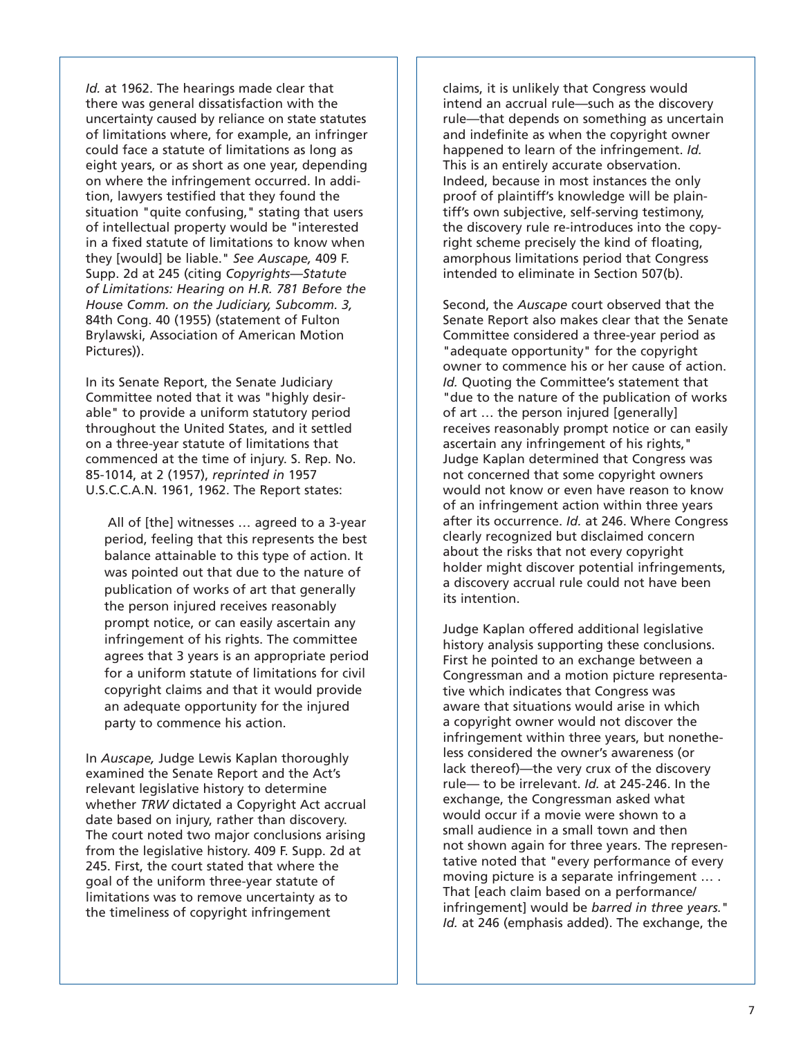*Id.* at 1962. The hearings made clear that there was general dissatisfaction with the uncertainty caused by reliance on state statutes of limitations where, for example, an infringer could face a statute of limitations as long as eight years, or as short as one year, depending on where the infringement occurred. In addition, lawyers testified that they found the situation "quite confusing," stating that users of intellectual property would be "interested in a fixed statute of limitations to know when they [would] be liable." *See Auscape,* 409 F. Supp. 2d at 245 (citing *Copyrights—Statute of Limitations: Hearing on H.R. 781 Before the House Comm. on the Judiciary, Subcomm. 3,* 84th Cong. 40 (1955) (statement of Fulton Brylawski, Association of American Motion Pictures)).

In its Senate Report, the Senate Judiciary Committee noted that it was "highly desirable" to provide a uniform statutory period throughout the United States, and it settled on a three-year statute of limitations that commenced at the time of injury. S. Rep. No. 85-1014, at 2 (1957), *reprinted in* 1957 U.S.C.C.A.N. 1961, 1962. The Report states:

All of [the] witnesses ... agreed to a 3-year period, feeling that this represents the best balance attainable to this type of action. It was pointed out that due to the nature of publication of works of art that generally the person injured receives reasonably prompt notice, or can easily ascertain any infringement of his rights. The committee agrees that 3 years is an appropriate period for a uniform statute of limitations for civil copyright claims and that it would provide an adequate opportunity for the injured party to commence his action.

In *Auscape,* Judge Lewis Kaplan thoroughly examined the Senate Report and the Act's relevant legislative history to determine whether *TRW* dictated a Copyright Act accrual date based on injury, rather than discovery. The court noted two major conclusions arising from the legislative history. 409 F. Supp. 2d at 245. First, the court stated that where the goal of the uniform three-year statute of limitations was to remove uncertainty as to the timeliness of copyright infringement

claims, it is unlikely that Congress would intend an accrual rule—such as the discovery rule—that depends on something as uncertain and indefinite as when the copyright owner happened to learn of the infringement. *Id.* This is an entirely accurate observation. Indeed, because in most instances the only proof of plaintiff's knowledge will be plaintiff's own subjective, self-serving testimony, the discovery rule re-introduces into the copyright scheme precisely the kind of floating, amorphous limitations period that Congress intended to eliminate in Section 507(b).

Second, the *Auscape* court observed that the Senate Report also makes clear that the Senate Committee considered a three-year period as "adequate opportunity" for the copyright owner to commence his or her cause of action. *Id.* Quoting the Committee's statement that "due to the nature of the publication of works of art … the person injured [generally] receives reasonably prompt notice or can easily ascertain any infringement of his rights," Judge Kaplan determined that Congress was not concerned that some copyright owners would not know or even have reason to know of an infringement action within three years after its occurrence. *Id.* at 246. Where Congress clearly recognized but disclaimed concern about the risks that not every copyright holder might discover potential infringements, a discovery accrual rule could not have been its intention.

Judge Kaplan offered additional legislative history analysis supporting these conclusions. First he pointed to an exchange between a Congressman and a motion picture representative which indicates that Congress was aware that situations would arise in which a copyright owner would not discover the infringement within three years, but nonetheless considered the owner's awareness (or lack thereof)—the very crux of the discovery rule— to be irrelevant. *Id.* at 245-246. In the exchange, the Congressman asked what would occur if a movie were shown to a small audience in a small town and then not shown again for three years. The representative noted that "every performance of every moving picture is a separate infringement … . That [each claim based on a performance/ infringement] would be *barred in three years.*" *Id.* at 246 (emphasis added). The exchange, the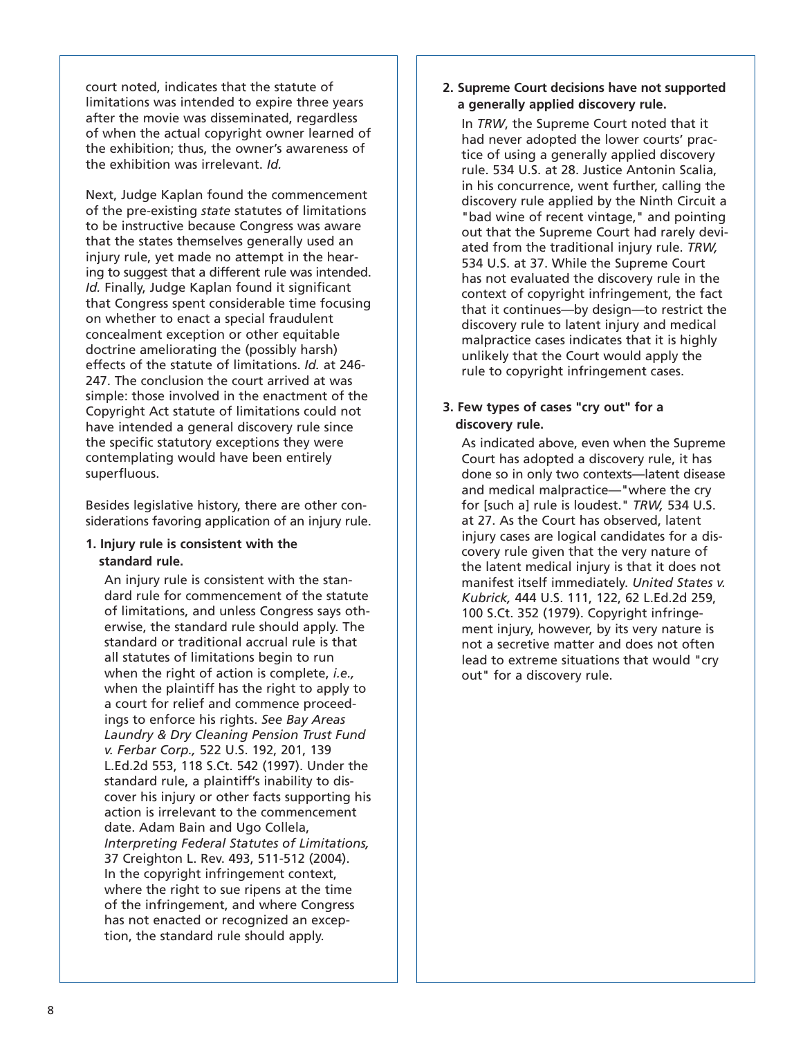court noted, indicates that the statute of limitations was intended to expire three years after the movie was disseminated, regardless of when the actual copyright owner learned of the exhibition; thus, the owner's awareness of the exhibition was irrelevant. *Id.*

Next, Judge Kaplan found the commencement of the pre-existing *state* statutes of limitations to be instructive because Congress was aware that the states themselves generally used an injury rule, yet made no attempt in the hearing to suggest that a different rule was intended. *Id.* Finally, Judge Kaplan found it significant that Congress spent considerable time focusing on whether to enact a special fraudulent concealment exception or other equitable doctrine ameliorating the (possibly harsh) effects of the statute of limitations. *Id.* at 246- 247. The conclusion the court arrived at was simple: those involved in the enactment of the Copyright Act statute of limitations could not have intended a general discovery rule since the specific statutory exceptions they were contemplating would have been entirely superfluous.

Besides legislative history, there are other considerations favoring application of an injury rule.

#### **1. Injury rule is consistent with the standard rule.**

An injury rule is consistent with the standard rule for commencement of the statute of limitations, and unless Congress says otherwise, the standard rule should apply. The standard or traditional accrual rule is that all statutes of limitations begin to run when the right of action is complete, *i.e.,* when the plaintiff has the right to apply to a court for relief and commence proceedings to enforce his rights. *See Bay Areas Laundry & Dry Cleaning Pension Trust Fund v. Ferbar Corp.,* 522 U.S. 192, 201, 139 L.Ed.2d 553, 118 S.Ct. 542 (1997). Under the standard rule, a plaintiff's inability to discover his injury or other facts supporting his action is irrelevant to the commencement date. Adam Bain and Ugo Collela, *Interpreting Federal Statutes of Limitations,* 37 Creighton L. Rev. 493, 511-512 (2004). In the copyright infringement context, where the right to sue ripens at the time of the infringement, and where Congress has not enacted or recognized an exception, the standard rule should apply.

**2. Supreme Court decisions have not supported a generally applied discovery rule.**

In *TRW*, the Supreme Court noted that it had never adopted the lower courts' practice of using a generally applied discovery rule. 534 U.S. at 28. Justice Antonin Scalia, in his concurrence, went further, calling the discovery rule applied by the Ninth Circuit a "bad wine of recent vintage," and pointing out that the Supreme Court had rarely deviated from the traditional injury rule. *TRW,* 534 U.S. at 37. While the Supreme Court has not evaluated the discovery rule in the context of copyright infringement, the fact that it continues—by design—to restrict the discovery rule to latent injury and medical malpractice cases indicates that it is highly unlikely that the Court would apply the rule to copyright infringement cases.

#### **3. Few types of cases "cry out" for a discovery rule.**

As indicated above, even when the Supreme Court has adopted a discovery rule, it has done so in only two contexts—latent disease and medical malpractice—"where the cry for [such a] rule is loudest." *TRW,* 534 U.S. at 27. As the Court has observed, latent injury cases are logical candidates for a discovery rule given that the very nature of the latent medical injury is that it does not manifest itself immediately. *United States v. Kubrick,* 444 U.S. 111, 122, 62 L.Ed.2d 259, 100 S.Ct. 352 (1979). Copyright infringement injury, however, by its very nature is not a secretive matter and does not often lead to extreme situations that would "cry out" for a discovery rule.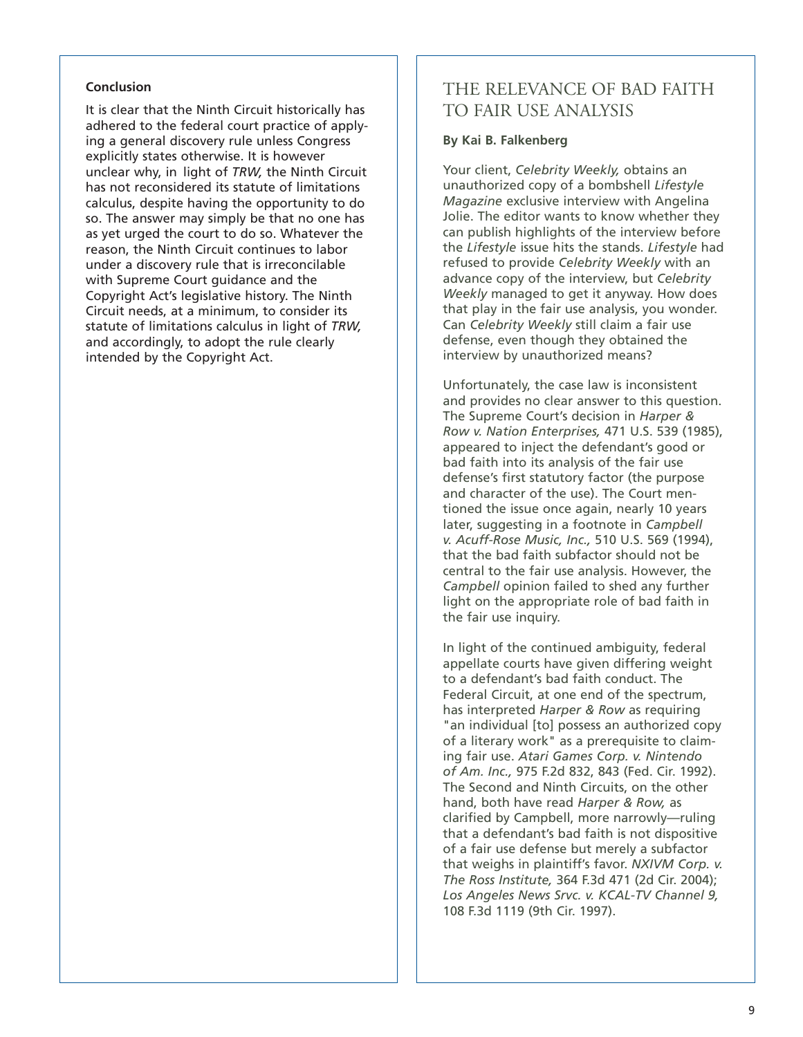#### **Conclusion**

It is clear that the Ninth Circuit historically has adhered to the federal court practice of applying a general discovery rule unless Congress explicitly states otherwise. It is however unclear why, in light of *TRW,* the Ninth Circuit has not reconsidered its statute of limitations calculus, despite having the opportunity to do so. The answer may simply be that no one has as yet urged the court to do so. Whatever the reason, the Ninth Circuit continues to labor under a discovery rule that is irreconcilable with Supreme Court guidance and the Copyright Act's legislative history. The Ninth Circuit needs, at a minimum, to consider its statute of limitations calculus in light of *TRW,* and accordingly, to adopt the rule clearly intended by the Copyright Act.

### THE RELEVANCE OF BAD FAITH TO FAIR USE ANALYSIS

#### **By Kai B. Falkenberg**

Your client, *Celebrity Weekly,* obtains an unauthorized copy of a bombshell *Lifestyle Magazine* exclusive interview with Angelina Jolie. The editor wants to know whether they can publish highlights of the interview before the *Lifestyle* issue hits the stands. *Lifestyle* had refused to provide *Celebrity Weekly* with an advance copy of the interview, but *Celebrity Weekly* managed to get it anyway. How does that play in the fair use analysis, you wonder. Can *Celebrity Weekly* still claim a fair use defense, even though they obtained the interview by unauthorized means?

Unfortunately, the case law is inconsistent and provides no clear answer to this question. The Supreme Court's decision in *Harper & Row v. Nation Enterprises,* 471 U.S. 539 (1985), appeared to inject the defendant's good or bad faith into its analysis of the fair use defense's first statutory factor (the purpose and character of the use). The Court mentioned the issue once again, nearly 10 years later, suggesting in a footnote in *Campbell v. Acuff-Rose Music, Inc.,* 510 U.S. 569 (1994), that the bad faith subfactor should not be central to the fair use analysis. However, the *Campbell* opinion failed to shed any further light on the appropriate role of bad faith in the fair use inquiry.

In light of the continued ambiguity, federal appellate courts have given differing weight to a defendant's bad faith conduct. The Federal Circuit, at one end of the spectrum, has interpreted *Harper & Row* as requiring "an individual [to] possess an authorized copy of a literary work" as a prerequisite to claiming fair use. *Atari Games Corp. v. Nintendo of Am. Inc.,* 975 F.2d 832, 843 (Fed. Cir. 1992). The Second and Ninth Circuits, on the other hand, both have read *Harper & Row,* as clarified by Campbell, more narrowly—ruling that a defendant's bad faith is not dispositive of a fair use defense but merely a subfactor that weighs in plaintiff's favor. *NXIVM Corp. v. The Ross Institute,* 364 F.3d 471 (2d Cir. 2004); *Los Angeles News Srvc. v. KCAL-TV Channel 9,* 108 F.3d 1119 (9th Cir. 1997).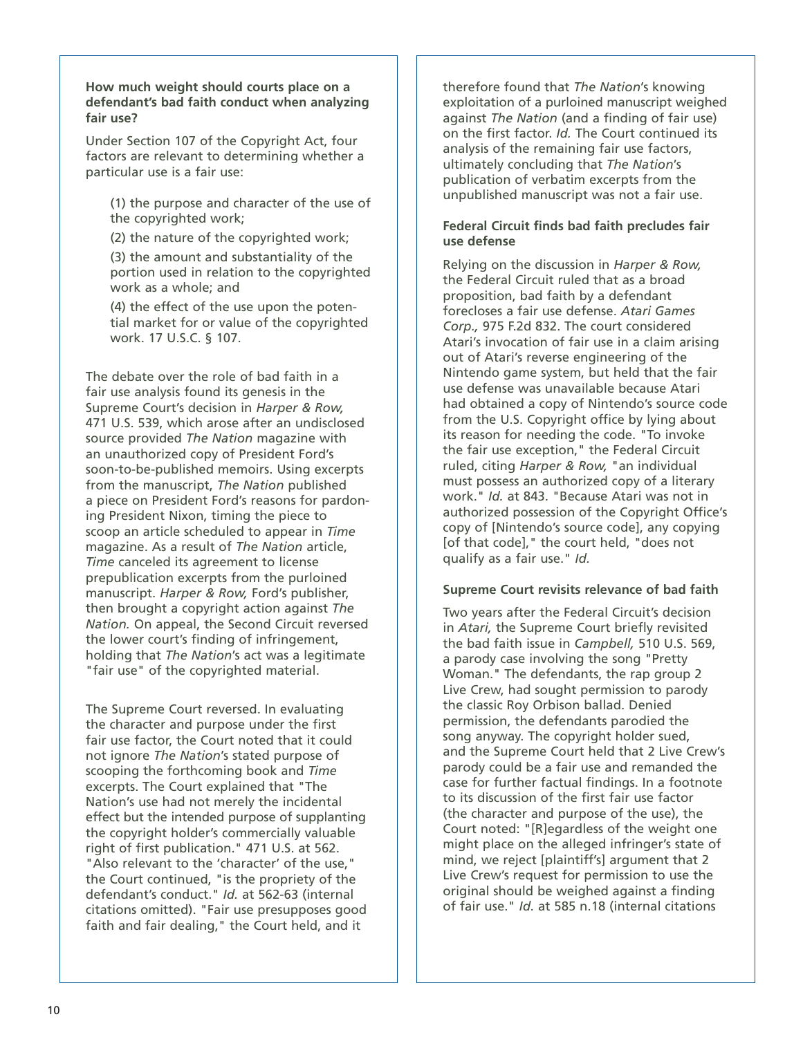**How much weight should courts place on a defendant's bad faith conduct when analyzing fair use?**

Under Section 107 of the Copyright Act, four factors are relevant to determining whether a particular use is a fair use:

(1) the purpose and character of the use of the copyrighted work;

(2) the nature of the copyrighted work;

(3) the amount and substantiality of the portion used in relation to the copyrighted work as a whole; and

 $(4)$  the effect of the use upon the potential market for or value of the copyrighted work. 17 U.S.C. § 107.

The debate over the role of bad faith in a fair use analysis found its genesis in the Supreme Court's decision in *Harper & Row,* 471 U.S. 539, which arose after an undisclosed source provided *The Nation* magazine with an unauthorized copy of President Ford's soon-to-be-published memoirs. Using excerpts from the manuscript, *The Nation* published a piece on President Ford's reasons for pardoning President Nixon, timing the piece to scoop an article scheduled to appear in *Time* magazine. As a result of *The Nation* article, *Time* canceled its agreement to license prepublication excerpts from the purloined manuscript. *Harper & Row,* Ford's publisher, then brought a copyright action against *The Nation.* On appeal, the Second Circuit reversed the lower court's finding of infringement, holding that *The Nation*'s act was a legitimate "fair use" of the copyrighted material.

The Supreme Court reversed. In evaluating the character and purpose under the first fair use factor, the Court noted that it could not ignore *The Nation*'s stated purpose of scooping the forthcoming book and *Time* excerpts. The Court explained that "The Nation's use had not merely the incidental effect but the intended purpose of supplanting the copyright holder's commercially valuable right of first publication." 471 U.S. at 562. "Also relevant to the 'character' of the use," the Court continued, "is the propriety of the defendant's conduct." *Id.* at 562-63 (internal citations omitted). "Fair use presupposes good faith and fair dealing," the Court held, and it

therefore found that *The Nation*'s knowing exploitation of a purloined manuscript weighed against *The Nation* (and a finding of fair use) on the first factor. *Id.* The Court continued its analysis of the remaining fair use factors, ultimately concluding that *The Nation*'s publication of verbatim excerpts from the unpublished manuscript was not a fair use.

#### **Federal Circuit finds bad faith precludes fair use defense**

Relying on the discussion in *Harper & Row,* the Federal Circuit ruled that as a broad proposition, bad faith by a defendant forecloses a fair use defense. *Atari Games Corp.,* 975 F.2d 832. The court considered Atari's invocation of fair use in a claim arising out of Atari's reverse engineering of the Nintendo game system, but held that the fair use defense was unavailable because Atari had obtained a copy of Nintendo's source code from the U.S. Copyright office by lying about its reason for needing the code. "To invoke the fair use exception," the Federal Circuit ruled, citing *Harper & Row,* "an individual must possess an authorized copy of a literary work." *Id.* at 843. "Because Atari was not in authorized possession of the Copyright Office's copy of [Nintendo's source code], any copying [of that code]," the court held, "does not qualify as a fair use." *Id.* 

#### **Supreme Court revisits relevance of bad faith**

Two years after the Federal Circuit's decision in *Atari,* the Supreme Court briefly revisited the bad faith issue in *Campbell,* 510 U.S. 569, a parody case involving the song "Pretty Woman." The defendants, the rap group 2 Live Crew, had sought permission to parody the classic Roy Orbison ballad. Denied permission, the defendants parodied the song anyway. The copyright holder sued, and the Supreme Court held that 2 Live Crew's parody could be a fair use and remanded the case for further factual findings. In a footnote to its discussion of the first fair use factor (the character and purpose of the use), the Court noted: "[R]egardless of the weight one might place on the alleged infringer's state of mind, we reject [plaintiff's] argument that 2 Live Crew's request for permission to use the original should be weighed against a finding of fair use." *Id.* at 585 n.18 (internal citations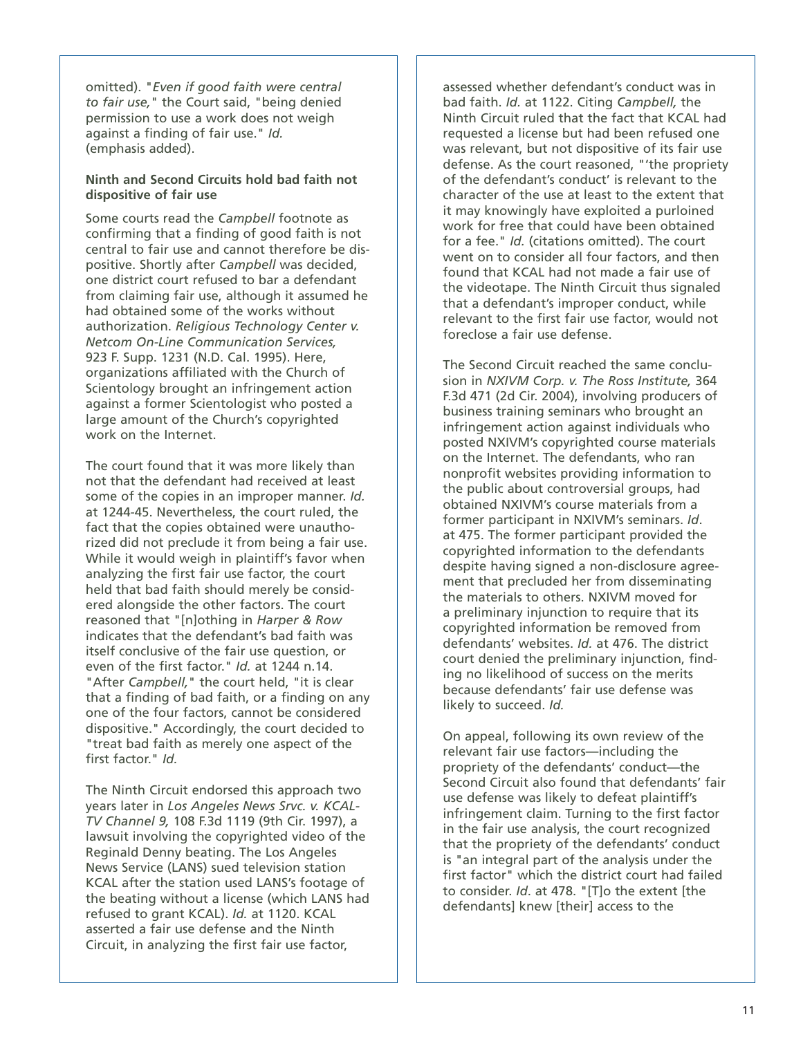omitted). "*Even if good faith were central to fair use,*" the Court said, "being denied permission to use a work does not weigh against a finding of fair use." *Id.* (emphasis added).

#### **Ninth and Second Circuits hold bad faith not dispositive of fair use**

Some courts read the *Campbell* footnote as confirming that a finding of good faith is not central to fair use and cannot therefore be dispositive. Shortly after *Campbell* was decided, one district court refused to bar a defendant from claiming fair use, although it assumed he had obtained some of the works without authorization. *Religious Technology Center v. Netcom On-Line Communication Services,* 923 F. Supp. 1231 (N.D. Cal. 1995). Here, organizations affiliated with the Church of Scientology brought an infringement action against a former Scientologist who posted a large amount of the Church's copyrighted work on the Internet.

The court found that it was more likely than not that the defendant had received at least some of the copies in an improper manner. *Id.* at 1244-45. Nevertheless, the court ruled, the fact that the copies obtained were unauthorized did not preclude it from being a fair use. While it would weigh in plaintiff's favor when analyzing the first fair use factor, the court held that bad faith should merely be considered alongside the other factors. The court reasoned that "[n]othing in *Harper & Row* indicates that the defendant's bad faith was itself conclusive of the fair use question, or even of the first factor." *Id.* at 1244 n.14. "After *Campbell,*" the court held, "it is clear that a finding of bad faith, or a finding on any one of the four factors, cannot be considered dispositive." Accordingly, the court decided to "treat bad faith as merely one aspect of the first factor." *Id.*

The Ninth Circuit endorsed this approach two years later in *Los Angeles News Srvc. v. KCAL-TV Channel 9,* 108 F.3d 1119 (9th Cir. 1997), a lawsuit involving the copyrighted video of the Reginald Denny beating. The Los Angeles News Service (LANS) sued television station KCAL after the station used LANS's footage of the beating without a license (which LANS had refused to grant KCAL). *Id.* at 1120. KCAL asserted a fair use defense and the Ninth Circuit, in analyzing the first fair use factor,

assessed whether defendant's conduct was in bad faith. *Id.* at 1122. Citing *Campbell,* the Ninth Circuit ruled that the fact that KCAL had requested a license but had been refused one was relevant, but not dispositive of its fair use defense. As the court reasoned, "'the propriety of the defendant's conduct' is relevant to the character of the use at least to the extent that it may knowingly have exploited a purloined work for free that could have been obtained for a fee." *Id.* (citations omitted). The court went on to consider all four factors, and then found that KCAL had not made a fair use of the videotape. The Ninth Circuit thus signaled that a defendant's improper conduct, while relevant to the first fair use factor, would not foreclose a fair use defense.

The Second Circuit reached the same conclusion in *NXIVM Corp. v. The Ross Institute,* 364 F.3d 471 (2d Cir. 2004), involving producers of business training seminars who brought an infringement action against individuals who posted NXIVM's copyrighted course materials on the Internet. The defendants, who ran nonprofit websites providing information to the public about controversial groups, had obtained NXIVM's course materials from a former participant in NXIVM's seminars. *Id*. at 475. The former participant provided the copyrighted information to the defendants despite having signed a non-disclosure agreement that precluded her from disseminating the materials to others. NXIVM moved for a preliminary injunction to require that its copyrighted information be removed from defendants' websites. *Id.* at 476. The district court denied the preliminary injunction, finding no likelihood of success on the merits because defendants' fair use defense was likely to succeed. *Id.* 

On appeal, following its own review of the relevant fair use factors—including the propriety of the defendants' conduct—the Second Circuit also found that defendants' fair use defense was likely to defeat plaintiff's infringement claim. Turning to the first factor in the fair use analysis, the court recognized that the propriety of the defendants' conduct is "an integral part of the analysis under the first factor" which the district court had failed to consider. *Id*. at 478. "[T]o the extent [the defendants] knew [their] access to the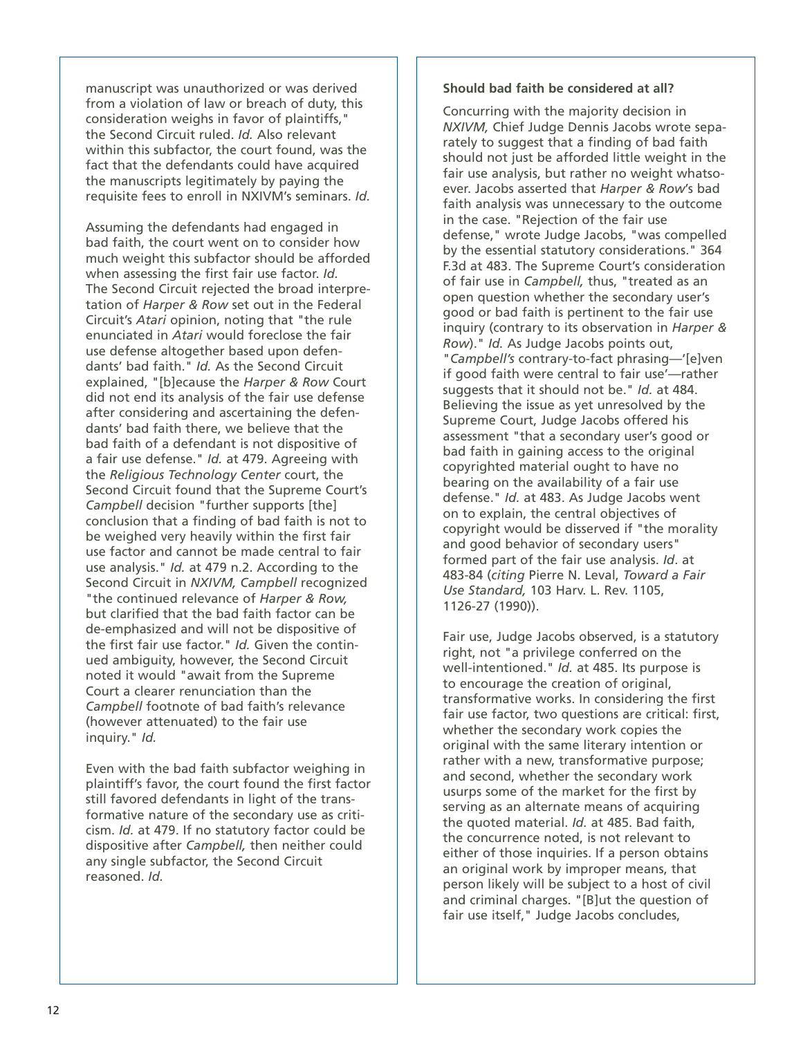manuscript was unauthorized or was derived from a violation of law or breach of duty, this consideration weighs in favor of plaintiffs," the Second Circuit ruled. *Id.* Also relevant within this subfactor, the court found, was the fact that the defendants could have acquired the manuscripts legitimately by paying the requisite fees to enroll in NXIVM's seminars. *Id.*

Assuming the defendants had engaged in bad faith, the court went on to consider how much weight this subfactor should be afforded when assessing the first fair use factor. *Id.* The Second Circuit rejected the broad interpretation of *Harper & Row* set out in the Federal Circuit's *Atari* opinion, noting that "the rule enunciated in *Atari* would foreclose the fair use defense altogether based upon defendants' bad faith." *Id.* As the Second Circuit explained, "[b]ecause the *Harper & Row* Court did not end its analysis of the fair use defense after considering and ascertaining the defendants' bad faith there, we believe that the bad faith of a defendant is not dispositive of a fair use defense." *Id.* at 479. Agreeing with the *Religious Technology Center* court, the Second Circuit found that the Supreme Court's *Campbell* decision "further supports [the] conclusion that a finding of bad faith is not to be weighed very heavily within the first fair use factor and cannot be made central to fair use analysis." *Id.* at 479 n.2. According to the Second Circuit in *NXIVM, Campbell* recognized "the continued relevance of *Harper & Row,* but clarified that the bad faith factor can be de-emphasized and will not be dispositive of the first fair use factor." *Id.* Given the continued ambiguity, however, the Second Circuit noted it would "await from the Supreme Court a clearer renunciation than the *Campbell* footnote of bad faith's relevance (however attenuated) to the fair use inquiry." *Id.*

Even with the bad faith subfactor weighing in plaintiff's favor, the court found the first factor still favored defendants in light of the transformative nature of the secondary use as criticism. *Id.* at 479. If no statutory factor could be dispositive after *Campbell,* then neither could any single subfactor, the Second Circuit reasoned. *Id.*

#### **Should bad faith be considered at all?**

Concurring with the majority decision in *NXIVM,* Chief Judge Dennis Jacobs wrote separately to suggest that a finding of bad faith should not just be afforded little weight in the fair use analysis, but rather no weight whatsoever. Jacobs asserted that *Harper & Row*'s bad faith analysis was unnecessary to the outcome in the case. "Rejection of the fair use defense," wrote Judge Jacobs, "was compelled by the essential statutory considerations." 364 F.3d at 483. The Supreme Court's consideration of fair use in *Campbell,* thus, "treated as an open question whether the secondary user's good or bad faith is pertinent to the fair use inquiry (contrary to its observation in *Harper & Row*)." *Id.* As Judge Jacobs points out, "*Campbell's* contrary-to-fact phrasing—'[e]ven if good faith were central to fair use'—rather suggests that it should not be." *Id.* at 484. Believing the issue as yet unresolved by the Supreme Court, Judge Jacobs offered his assessment "that a secondary user's good or bad faith in gaining access to the original copyrighted material ought to have no bearing on the availability of a fair use defense." *Id.* at 483. As Judge Jacobs went on to explain, the central objectives of copyright would be disserved if "the morality and good behavior of secondary users" formed part of the fair use analysis. *Id*. at 483-84 (*citing* Pierre N. Leval, *Toward a Fair Use Standard,* 103 Harv. L. Rev. 1105, 1126-27 (1990)).

Fair use, Judge Jacobs observed, is a statutory right, not "a privilege conferred on the well-intentioned." *Id.* at 485. Its purpose is to encourage the creation of original, transformative works. In considering the first fair use factor, two questions are critical: first, whether the secondary work copies the original with the same literary intention or rather with a new, transformative purpose; and second, whether the secondary work usurps some of the market for the first by serving as an alternate means of acquiring the quoted material. *Id.* at 485. Bad faith, the concurrence noted, is not relevant to either of those inquiries. If a person obtains an original work by improper means, that person likely will be subject to a host of civil and criminal charges. "[B]ut the question of fair use itself," Judge Jacobs concludes,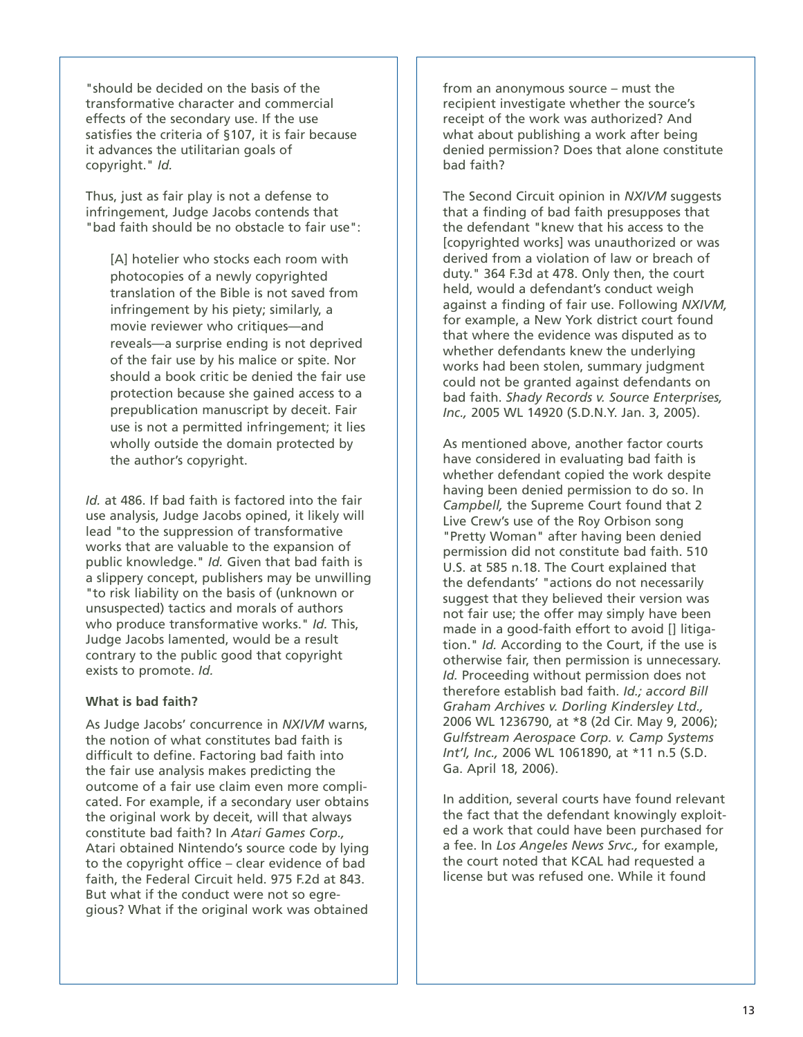"should be decided on the basis of the transformative character and commercial effects of the secondary use. If the use satisfies the criteria of §107, it is fair because it advances the utilitarian goals of copyright." *Id.*

Thus, just as fair play is not a defense to infringement, Judge Jacobs contends that "bad faith should be no obstacle to fair use":

[A] hotelier who stocks each room with photocopies of a newly copyrighted translation of the Bible is not saved from infringement by his piety; similarly, a movie reviewer who critiques—and reveals—a surprise ending is not deprived of the fair use by his malice or spite. Nor should a book critic be denied the fair use protection because she gained access to a prepublication manuscript by deceit. Fair use is not a permitted infringement; it lies wholly outside the domain protected by the author's copyright.

*Id.* at 486. If bad faith is factored into the fair use analysis, Judge Jacobs opined, it likely will lead "to the suppression of transformative works that are valuable to the expansion of public knowledge." *Id.* Given that bad faith is a slippery concept, publishers may be unwilling "to risk liability on the basis of (unknown or unsuspected) tactics and morals of authors who produce transformative works." *Id.* This, Judge Jacobs lamented, would be a result contrary to the public good that copyright exists to promote. *Id.*

#### **What is bad faith?**

As Judge Jacobs' concurrence in *NXIVM* warns, the notion of what constitutes bad faith is difficult to define. Factoring bad faith into the fair use analysis makes predicting the outcome of a fair use claim even more complicated. For example, if a secondary user obtains the original work by deceit, will that always constitute bad faith? In *Atari Games Corp.,* Atari obtained Nintendo's source code by lying to the copyright office – clear evidence of bad faith, the Federal Circuit held. 975 F.2d at 843. But what if the conduct were not so egregious? What if the original work was obtained

from an anonymous source – must the recipient investigate whether the source's receipt of the work was authorized? And what about publishing a work after being denied permission? Does that alone constitute bad faith?

The Second Circuit opinion in *NXIVM* suggests that a finding of bad faith presupposes that the defendant "knew that his access to the [copyrighted works] was unauthorized or was derived from a violation of law or breach of duty." 364 F.3d at 478. Only then, the court held, would a defendant's conduct weigh against a finding of fair use. Following *NXIVM,* for example, a New York district court found that where the evidence was disputed as to whether defendants knew the underlying works had been stolen, summary judgment could not be granted against defendants on bad faith. *Shady Records v. Source Enterprises, Inc.,* 2005 WL 14920 (S.D.N.Y. Jan. 3, 2005).

As mentioned above, another factor courts have considered in evaluating bad faith is whether defendant copied the work despite having been denied permission to do so. In *Campbell,* the Supreme Court found that 2 Live Crew's use of the Roy Orbison song "Pretty Woman" after having been denied permission did not constitute bad faith. 510 U.S. at 585 n.18. The Court explained that the defendants' "actions do not necessarily suggest that they believed their version was not fair use; the offer may simply have been made in a good-faith effort to avoid [] litigation." *Id.* According to the Court, if the use is otherwise fair, then permission is unnecessary. *Id.* Proceeding without permission does not therefore establish bad faith. *Id.; accord Bill Graham Archives v. Dorling Kindersley Ltd.,* 2006 WL 1236790, at \*8 (2d Cir. May 9, 2006); *Gulfstream Aerospace Corp. v. Camp Systems Int'l, Inc.,* 2006 WL 1061890, at \*11 n.5 (S.D. Ga. April 18, 2006).

In addition, several courts have found relevant the fact that the defendant knowingly exploited a work that could have been purchased for a fee. In *Los Angeles News Srvc.,* for example, the court noted that KCAL had requested a license but was refused one. While it found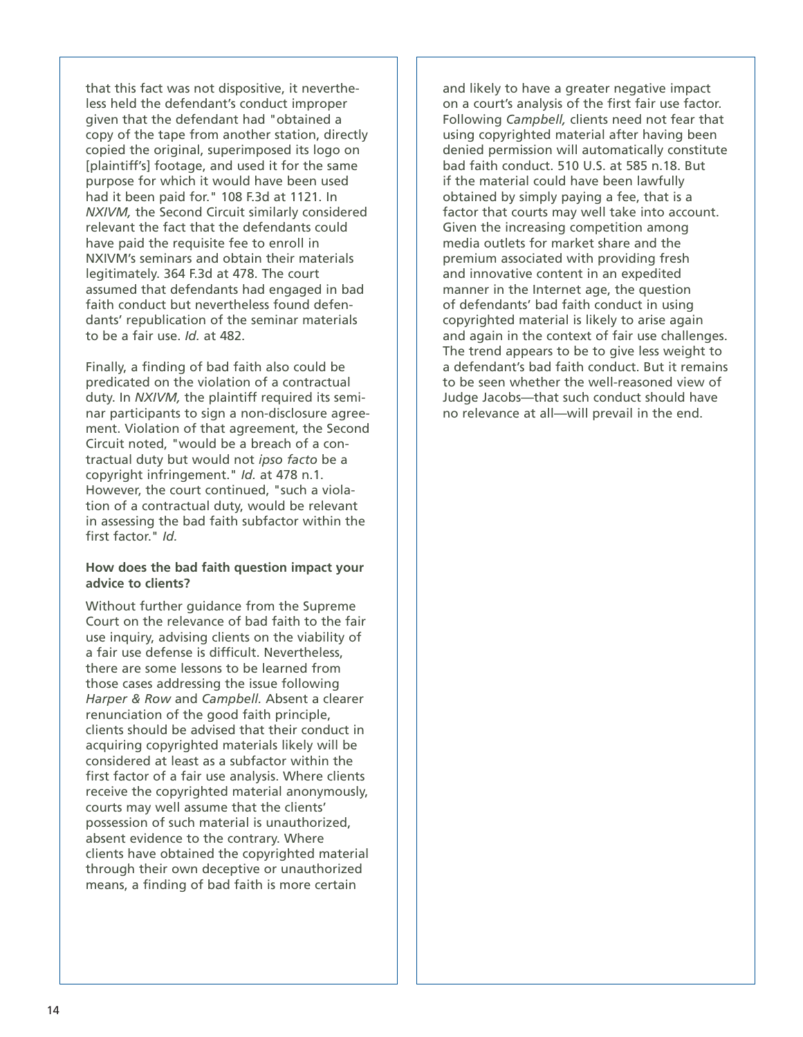that this fact was not dispositive, it nevertheless held the defendant's conduct improper given that the defendant had "obtained a copy of the tape from another station, directly copied the original, superimposed its logo on [plaintiff's] footage, and used it for the same purpose for which it would have been used had it been paid for." 108 F.3d at 1121. In *NXIVM,* the Second Circuit similarly considered relevant the fact that the defendants could have paid the requisite fee to enroll in NXIVM's seminars and obtain their materials legitimately. 364 F.3d at 478. The court assumed that defendants had engaged in bad faith conduct but nevertheless found defendants' republication of the seminar materials to be a fair use. *Id.* at 482.

Finally, a finding of bad faith also could be predicated on the violation of a contractual duty. In *NXIVM,* the plaintiff required its seminar participants to sign a non-disclosure agreement. Violation of that agreement, the Second Circuit noted, "would be a breach of a contractual duty but would not *ipso facto* be a copyright infringement." *Id.* at 478 n.1. However, the court continued, "such a violation of a contractual duty, would be relevant in assessing the bad faith subfactor within the first factor." *Id.*

#### **How does the bad faith question impact your advice to clients?**

Without further guidance from the Supreme Court on the relevance of bad faith to the fair use inquiry, advising clients on the viability of a fair use defense is difficult. Nevertheless, there are some lessons to be learned from those cases addressing the issue following *Harper & Row* and *Campbell.* Absent a clearer renunciation of the good faith principle, clients should be advised that their conduct in acquiring copyrighted materials likely will be considered at least as a subfactor within the first factor of a fair use analysis. Where clients receive the copyrighted material anonymously, courts may well assume that the clients' possession of such material is unauthorized, absent evidence to the contrary. Where clients have obtained the copyrighted material through their own deceptive or unauthorized means, a finding of bad faith is more certain

and likely to have a greater negative impact on a court's analysis of the first fair use factor. Following *Campbell,* clients need not fear that using copyrighted material after having been denied permission will automatically constitute bad faith conduct. 510 U.S. at 585 n.18. But if the material could have been lawfully obtained by simply paying a fee, that is a factor that courts may well take into account. Given the increasing competition among media outlets for market share and the premium associated with providing fresh and innovative content in an expedited manner in the Internet age, the question of defendants' bad faith conduct in using copyrighted material is likely to arise again and again in the context of fair use challenges. The trend appears to be to give less weight to a defendant's bad faith conduct. But it remains to be seen whether the well-reasoned view of Judge Jacobs—that such conduct should have no relevance at all—will prevail in the end.